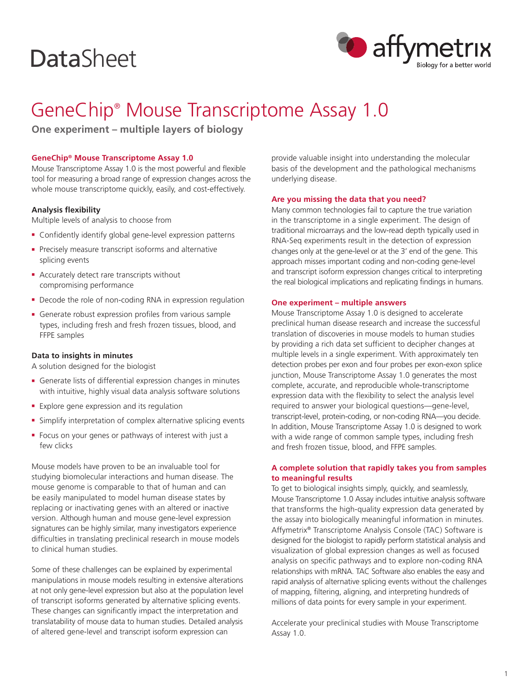# **DataSheet**



# GeneChip® Mouse Transcriptome Assay 1.0

**One experiment – multiple layers of biology**

# **GeneChip® Mouse Transcriptome Assay 1.0**

Mouse Transcriptome Assay 1.0 is the most powerful and flexible tool for measuring a broad range of expression changes across the whole mouse transcriptome quickly, easily, and cost-effectively.

# **Analysis flexibility**

Multiple levels of analysis to choose from

- **-** Confidently identify global gene-level expression patterns
- **Precisely measure transcript isoforms and alternative** splicing events
- **Accurately detect rare transcripts without** compromising performance
- Decode the role of non-coding RNA in expression regulation
- **Generate robust expression profiles from various sample** types, including fresh and fresh frozen tissues, blood, and FFPE samples

# **Data to insights in minutes**

A solution designed for the biologist

- <sup>n</sup> Generate lists of differential expression changes in minutes with intuitive, highly visual data analysis software solutions
- **Explore gene expression and its regulation**
- **F** Simplify interpretation of complex alternative splicing events
- <sup>n</sup> Focus on your genes or pathways of interest with just a few clicks

Mouse models have proven to be an invaluable tool for studying biomolecular interactions and human disease. The mouse genome is comparable to that of human and can be easily manipulated to model human disease states by replacing or inactivating genes with an altered or inactive version. Although human and mouse gene-level expression signatures can be highly similar, many investigators experience difficulties in translating preclinical research in mouse models to clinical human studies.

Some of these challenges can be explained by experimental manipulations in mouse models resulting in extensive alterations at not only gene-level expression but also at the population level of transcript isoforms generated by alternative splicing events. These changes can significantly impact the interpretation and translatability of mouse data to human studies. Detailed analysis of altered gene-level and transcript isoform expression can

provide valuable insight into understanding the molecular basis of the development and the pathological mechanisms underlying disease.

#### **Are you missing the data that you need?**

Many common technologies fail to capture the true variation in the transcriptome in a single experiment. The design of traditional microarrays and the low-read depth typically used in RNA-Seq experiments result in the detection of expression changes only at the gene-level or at the 3' end of the gene. This approach misses important coding and non-coding gene-level and transcript isoform expression changes critical to interpreting the real biological implications and replicating findings in humans.

#### **One experiment – multiple answers**

Mouse Transcriptome Assay 1.0 is designed to accelerate preclinical human disease research and increase the successful translation of discoveries in mouse models to human studies by providing a rich data set sufficient to decipher changes at multiple levels in a single experiment. With approximately ten detection probes per exon and four probes per exon-exon splice junction, Mouse Transcriptome Assay 1.0 generates the most complete, accurate, and reproducible whole-transcriptome expression data with the flexibility to select the analysis level required to answer your biological questions—gene-level, transcript-level, protein-coding, or non-coding RNA—you decide. In addition, Mouse Transcriptome Assay 1.0 is designed to work with a wide range of common sample types, including fresh and fresh frozen tissue, blood, and FFPE samples.

# **A complete solution that rapidly takes you from samples to meaningful results**

To get to biological insights simply, quickly, and seamlessly, Mouse Transcriptome 1.0 Assay includes intuitive analysis software that transforms the high-quality expression data generated by the assay into biologically meaningful information in minutes. Affymetrix® Transcriptome Analysis Console (TAC) Software is designed for the biologist to rapidly perform statistical analysis and visualization of global expression changes as well as focused analysis on specific pathways and to explore non-coding RNA relationships with mRNA. TAC Software also enables the easy and rapid analysis of alternative splicing events without the challenges of mapping, filtering, aligning, and interpreting hundreds of millions of data points for every sample in your experiment.

Accelerate your preclinical studies with Mouse Transcriptome Assay 1.0.